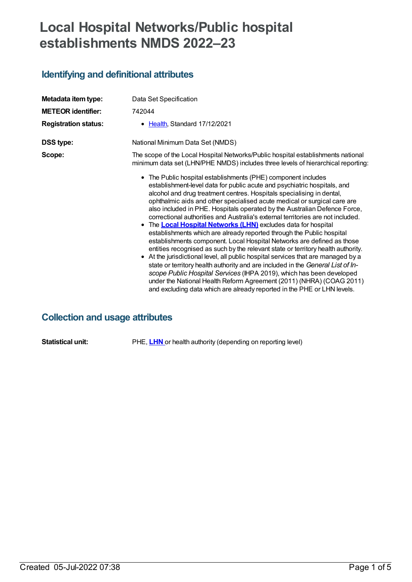# **Local Hospital Networks/Public hospital establishments NMDS 2022–23**

## **Identifying and definitional attributes**

| Metadata item type:<br><b>METEOR identifier:</b><br><b>Registration status:</b> | Data Set Specification<br>742044<br>• Health, Standard 17/12/2021                                                                                                                                                                                                                                                                                                                                                                                                                                                                                                                                                                                                                                                                                                                                                                                                                                                                                                                                                                                                                                                                                                                                                                                                                                                                                         |
|---------------------------------------------------------------------------------|-----------------------------------------------------------------------------------------------------------------------------------------------------------------------------------------------------------------------------------------------------------------------------------------------------------------------------------------------------------------------------------------------------------------------------------------------------------------------------------------------------------------------------------------------------------------------------------------------------------------------------------------------------------------------------------------------------------------------------------------------------------------------------------------------------------------------------------------------------------------------------------------------------------------------------------------------------------------------------------------------------------------------------------------------------------------------------------------------------------------------------------------------------------------------------------------------------------------------------------------------------------------------------------------------------------------------------------------------------------|
| <b>DSS type:</b>                                                                | National Minimum Data Set (NMDS)                                                                                                                                                                                                                                                                                                                                                                                                                                                                                                                                                                                                                                                                                                                                                                                                                                                                                                                                                                                                                                                                                                                                                                                                                                                                                                                          |
| Scope:                                                                          | The scope of the Local Hospital Networks/Public hospital establishments national<br>minimum data set (LHN/PHE NMDS) includes three levels of hierarchical reporting:<br>• The Public hospital establishments (PHE) component includes<br>establishment-level data for public acute and psychiatric hospitals, and<br>alcohol and drug treatment centres. Hospitals specialising in dental,<br>ophthalmic aids and other specialised acute medical or surgical care are<br>also included in PHE. Hospitals operated by the Australian Defence Force,<br>correctional authorities and Australia's external territories are not included.<br>• The <b>Local Hospital Networks (LHN)</b> excludes data for hospital<br>establishments which are already reported through the Public hospital<br>establishments component. Local Hospital Networks are defined as those<br>entities recognised as such by the relevant state or territory health authority.<br>• At the jurisdictional level, all public hospital services that are managed by a<br>state or territory health authority and are included in the General List of In-<br>scope Public Hospital Services (IHPA 2019), which has been developed<br>under the National Health Reform Agreement (2011) (NHRA) (COAG 2011)<br>and excluding data which are already reported in the PHE or LHN levels. |

## **Collection and usage attributes**

**Statistical unit:** PHE, **[LHN](https://meteor.aihw.gov.au/content/711144)** or health authority (depending on reporting level)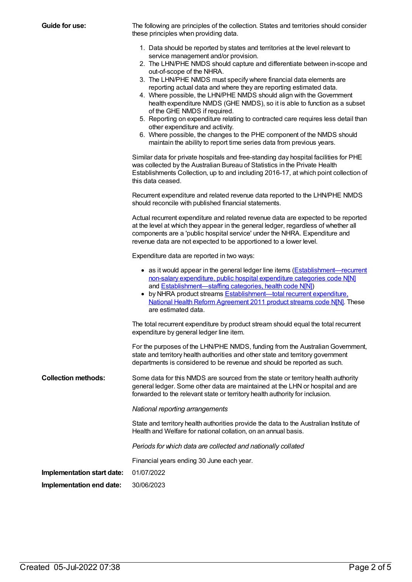**Guide for use:** The following are principles of the collection. States and territories should consider these principles when providing data.

- 1. Data should be reported by states and territories at the level relevant to service management and/or provision.
- 2. The LHN/PHE NMDS should capture and differentiate between in-scope and out-of-scope of the NHRA.
- 3. The LHN/PHE NMDS must specify where financial data elements are reporting actual data and where they are reporting estimated data.
- 4. Where possible, the LHN/PHE NMDS should align with the Government health expenditure NMDS (GHE NMDS), so it is able to function as a subset of the GHE NMDS if required.
- 5. Reporting on expenditure relating to contracted care requires less detail than other expenditure and activity.
- 6. Where possible, the changes to the PHE component of the NMDS should maintain the ability to report time series data from previous years.

Similar data for private hospitals and free-standing day hospital facilities for PHE was collected by the Australian Bureau of Statistics in the Private Health Establishments Collection, up to and including 2016-17, at which point collection of this data ceased.

Recurrent expenditure and related revenue data reported to the LHN/PHE NMDS should reconcile with published financial statements.

Actual recurrent expenditure and related revenue data are expected to be reported at the level at which they appear in the general ledger, regardless of whether all components are a 'public hospital service' under the NHRA. Expenditure and revenue data are not expected to be apportioned to a lower level.

Expenditure data are reported in two ways:

|                            | • as it would appear in the general ledger line items (Establishment—recurrent<br>non-salary expenditure, public hospital expenditure categories code N[N]<br>and Establishment-staffing categories, health code N[N])<br>• by NHRA product streams <b>Establishment-total recurrent expenditure</b> .<br>National Health Reform Agreement 2011 product streams code N[N]. These<br>are estimated data. |
|----------------------------|---------------------------------------------------------------------------------------------------------------------------------------------------------------------------------------------------------------------------------------------------------------------------------------------------------------------------------------------------------------------------------------------------------|
|                            | The total recurrent expenditure by product stream should equal the total recurrent<br>expenditure by general ledger line item.                                                                                                                                                                                                                                                                          |
|                            | For the purposes of the LHN/PHE NMDS, funding from the Australian Government,<br>state and territory health authorities and other state and territory government<br>departments is considered to be revenue and should be reported as such.                                                                                                                                                             |
| <b>Collection methods:</b> | Some data for this NMDS are sourced from the state or territory health authority<br>general ledger. Some other data are maintained at the LHN or hospital and are<br>forwarded to the relevant state or territory health authority for inclusion.                                                                                                                                                       |

*National reporting arrangements*

State and territory health authorities provide the data to the Australian Institute of Health and Welfare for national collation, on an annual basis.

*Periods for which data are collected and nationally collated*

Financial years ending 30 June each year.

**Implementation start date:** 01/07/2022

**Implementation end date:** 30/06/2023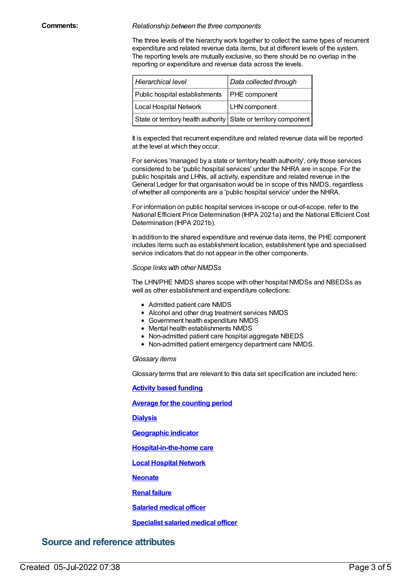#### **Comments:** *Relationship between the three components*

The three levels of the hierarchy work together to collect the same types of recurrent expenditure and related revenue data items, but at different levels of the system. The reporting levels are mutually exclusive, so there should be no overlap in the reporting or expenditure and revenue data across the levels.

| Hierarchical level                                               | Data collected through |
|------------------------------------------------------------------|------------------------|
| Public hospital establishments   PHE component                   |                        |
| Local Hospital Network                                           | <b>LHN</b> component   |
| State or territory health authority State or territory component |                        |

It is expected that recurrent expenditure and related revenue data will be reported at the level at which they occur.

For services 'managed by a state or territory health authority', only those services considered to be 'public hospital services' under the NHRA are in scope. For the public hospitals and LHNs, all activity, expenditure and related revenue in the General Ledger for that organisation would be in scope of this NMDS, regardless of whether all components are a 'public hospital service' under the NHRA.

For information on public hospital services in-scope or out-of-scope, refer to the National Efficient Price Determination (IHPA 2021a) and the National Efficient Cost Determination (IHPA 2021b).

In addition to the shared expenditure and revenue data items, the PHE component includes items such as establishment location, establishment type and specialised service indicators that do not appear in the other components.

#### *Scope links with other NMDSs*

The LHN/PHE NMDS shares scope with other hospital NMDSs and NBEDSs as well as other establishment and expenditure collections:

- Admitted patient care NMDS
- Alcohol and other drug treatment services NMDS
- Government health expenditure NMDS
- Mental health establishments NMDS
- Non-admitted patient care hospital aggregate NBEDS
- Non-admitted patient emergency department care NMDS.

#### *Glossary items*

Glossary terms that are relevant to this data set specification are included here:

**Activity based [funding](https://meteor.aihw.gov.au/content/678967)**

**Average for the [counting](https://meteor.aihw.gov.au/content/373642) period**

**[Dialysis](https://meteor.aihw.gov.au/content/620124)**

**[Geographic](https://meteor.aihw.gov.au/content/722655) indicator**

**[Hospital-in-the-home](https://meteor.aihw.gov.au/content/327308) care**

**Local [Hospital](https://meteor.aihw.gov.au/content/711144) Network**

**[Neonate](https://meteor.aihw.gov.au/content/327284)**

**Renal [failure](https://meteor.aihw.gov.au/content/620136)**

**[Salaried](https://meteor.aihw.gov.au/content/327188) medical officer**

**[Specialist](https://meteor.aihw.gov.au/content/548490) salaried medical officer**

### **Source and reference attributes**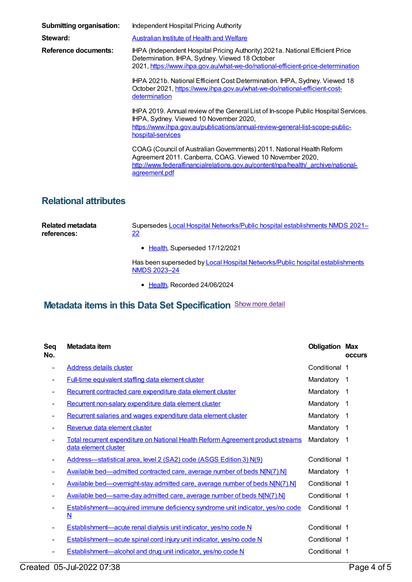| <b>Submitting organisation:</b> | Independent Hospital Pricing Authority                                                                                                                                                                                                  |
|---------------------------------|-----------------------------------------------------------------------------------------------------------------------------------------------------------------------------------------------------------------------------------------|
| Steward:                        | Australian Institute of Health and Welfare                                                                                                                                                                                              |
| Reference documents:            | IHPA (Independent Hospital Pricing Authority) 2021a. National Efficient Price<br>Determination. IHPA, Sydney. Viewed 18 October<br>2021, https://www.ihpa.gov.au/what-we-do/national-efficient-price-determination                      |
|                                 | IHPA 2021b. National Efficient Cost Determination. IHPA, Sydney. Viewed 18<br>October 2021, https://www.ihpa.gov.au/what-we-do/national-efficient-cost-<br>determination                                                                |
|                                 | IHPA 2019. Annual review of the General List of In-scope Public Hospital Services.<br>IHPA, Sydney. Viewed 10 November 2020,<br>https://www.ihpa.gov.au/publications/annual-review-general-list-scope-public-<br>hospital-services      |
|                                 | COAG (Council of Australian Governments) 2011. National Health Reform<br>Agreement 2011. Canberra, COAG. Viewed 10 November 2020,<br>http://www.federalfinancialrelations.gov.au/content/npa/health/ archive/national-<br>agreement.pdf |

### **Relational attributes**

| Related metadata<br>references: | Supersedes Local Hospital Networks/Public hospital establishments NMDS 2021-<br>22            |  |
|---------------------------------|-----------------------------------------------------------------------------------------------|--|
|                                 | • Health, Superseded 17/12/2021                                                               |  |
|                                 | Has been superseded by Local Hospital Networks/Public hospital establishments<br>NMDS 2023-24 |  |

● [Health](https://meteor.aihw.gov.au/RegistrationAuthority/12), Recorded 24/06/2024

# **Metadata items in this Data Set Specification** Show more detail

| Seq<br>No. | Metadata item                                                                                                    | <b>Obligation Max</b> | <b>OCCUIS</b>  |
|------------|------------------------------------------------------------------------------------------------------------------|-----------------------|----------------|
| ۰          | <b>Address details cluster</b>                                                                                   | Conditional 1         |                |
|            | <b>Full-time equivalent staffing data element cluster</b>                                                        | Mandatory             | -1             |
|            | Recurrent contracted care expenditure data element cluster                                                       | Mandatory             | -1             |
|            | Recurrent non-salary expenditure data element cluster                                                            | Mandatory             | $\overline{1}$ |
|            | Recurrent salaries and wages expenditure data element cluster                                                    | Mandatory             | - 1            |
|            | Revenue data element cluster                                                                                     | Mandatory             | -1             |
|            | <b>Total recurrent expenditure on National Health Reform Agreement product streams</b><br>data element cluster   | Mandatory             | -1             |
|            | Address-statistical area, level 2 (SA2) code (ASGS Edition 3) N(9)                                               | Conditional 1         |                |
|            | Available bed—admitted contracted care, average number of beds N[N(7).N]                                         | Mandatory 1           |                |
|            | Available bed—overnight-stay admitted care, average number of beds N[N(7).N]                                     | Conditional 1         |                |
|            | Available bed—same-day admitted care, average number of beds N[N(7).N]                                           | Conditional 1         |                |
|            | <b>Establishment—acquired immune deficiency syndrome unit indicator, yes/no code</b><br>$\underline{\mathsf{N}}$ | Conditional 1         |                |
|            | Establishment—acute renal dialysis unit indicator, yes/no code N                                                 | Conditional 1         |                |
|            | Establishment—acute spinal cord injury unit indicator, yes/no code N                                             | Conditional 1         |                |
|            | Establishment—alcohol and drug unit indicator, yes/no code N                                                     | Conditional 1         |                |